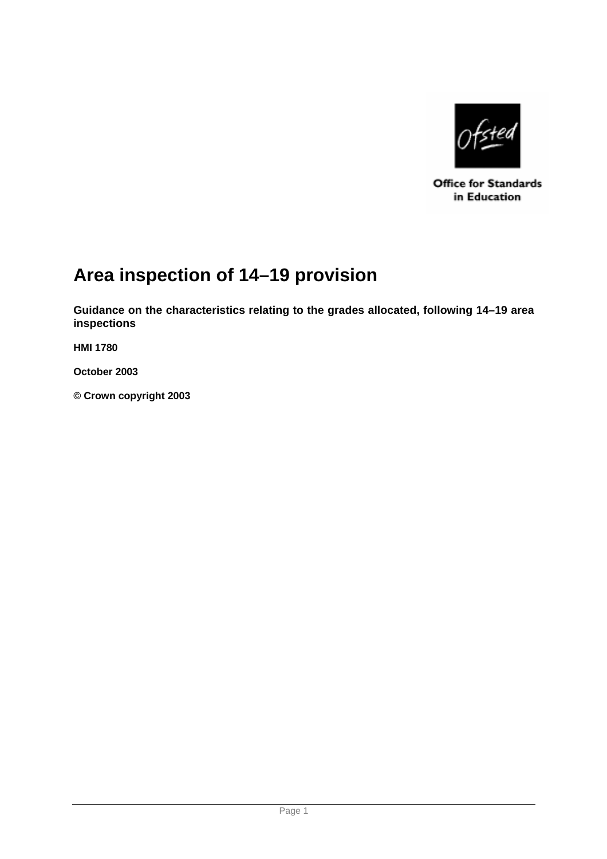

**Office for Standards** in Education

# **Area inspection of 14–19 provision**

**Guidance on the characteristics relating to the grades allocated, following 14–19 area inspections** 

**HMI 1780** 

**October 2003** 

**© Crown copyright 2003**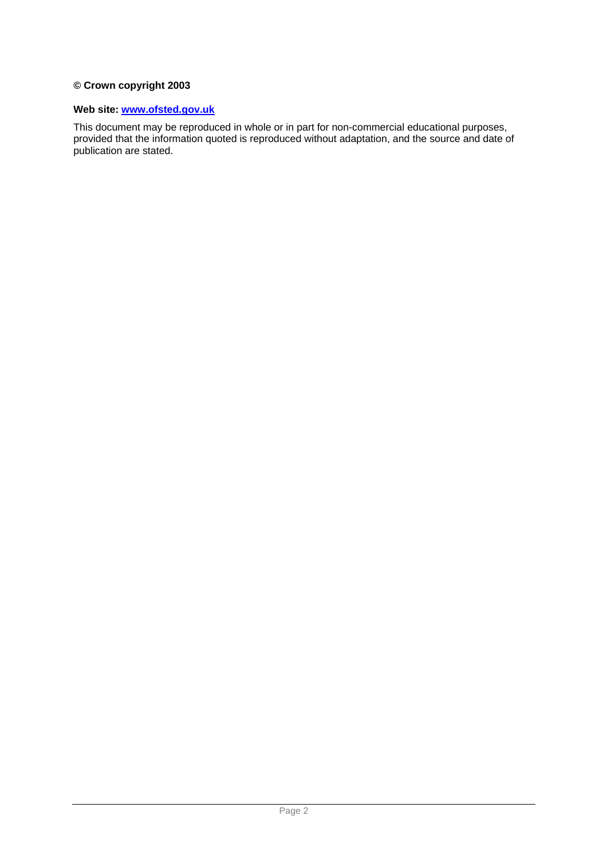#### **© Crown copyright 2003**

#### **Web site: www.ofsted.gov.uk**

This document may be reproduced in whole or in part for non-commercial educational purposes, provided that the information quoted is reproduced without adaptation, and the source and date of publication are stated.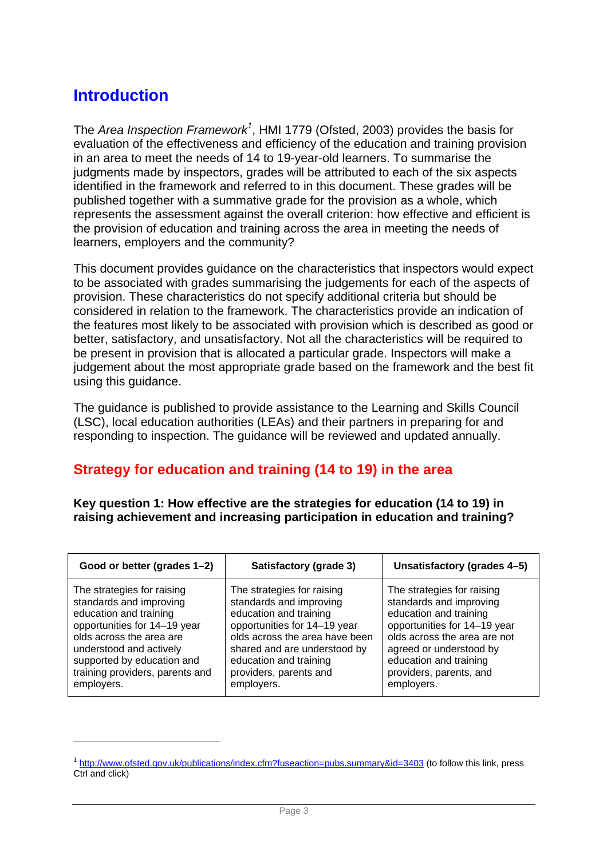# **Introduction**

 $\overline{a}$ 

The *Area Inspection Framework<sup>1</sup>* , HMI 1779 (Ofsted, 2003) provides the basis for evaluation of the effectiveness and efficiency of the education and training provision in an area to meet the needs of 14 to 19-year-old learners. To summarise the judgments made by inspectors, grades will be attributed to each of the six aspects identified in the framework and referred to in this document. These grades will be published together with a summative grade for the provision as a whole, which represents the assessment against the overall criterion: how effective and efficient is the provision of education and training across the area in meeting the needs of learners, employers and the community?

This document provides guidance on the characteristics that inspectors would expect to be associated with grades summarising the judgements for each of the aspects of provision. These characteristics do not specify additional criteria but should be considered in relation to the framework. The characteristics provide an indication of the features most likely to be associated with provision which is described as good or better, satisfactory, and unsatisfactory. Not all the characteristics will be required to be present in provision that is allocated a particular grade. Inspectors will make a judgement about the most appropriate grade based on the framework and the best fit using this guidance.

The guidance is published to provide assistance to the Learning and Skills Council (LSC), local education authorities (LEAs) and their partners in preparing for and responding to inspection. The guidance will be reviewed and updated annually.

#### **Strategy for education and training (14 to 19) in the area**

**Key question 1: How effective are the strategies for education (14 to 19) in raising achievement and increasing participation in education and training?** 

| Good or better (grades 1-2)     | Satisfactory (grade 3)         | Unsatisfactory (grades 4-5)  |
|---------------------------------|--------------------------------|------------------------------|
| The strategies for raising      | The strategies for raising     | The strategies for raising   |
| standards and improving         | standards and improving        | standards and improving      |
| education and training          | education and training         | education and training       |
| opportunities for 14-19 year    | opportunities for 14-19 year   | opportunities for 14-19 year |
| olds across the area are        | olds across the area have been | olds across the area are not |
| understood and actively         | shared and are understood by   | agreed or understood by      |
| supported by education and      | education and training         | education and training       |
| training providers, parents and | providers, parents and         | providers, parents, and      |
| employers.                      | employers.                     | employers.                   |

<sup>1</sup> http://www.ofsted.gov.uk/publications/index.cfm?fuseaction=pubs.summary&id=3403 (to follow this link, press Ctrl and click)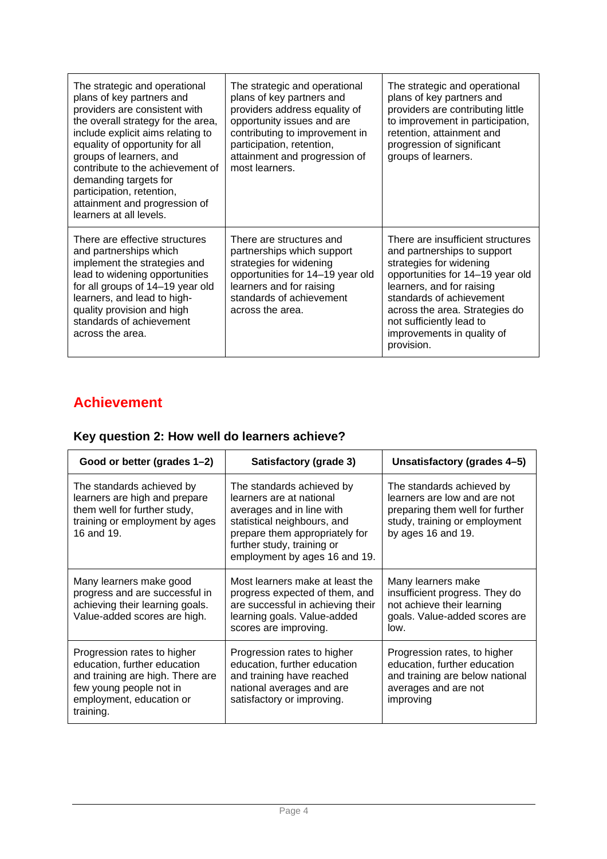| The strategic and operational<br>plans of key partners and<br>providers are consistent with<br>the overall strategy for the area,<br>include explicit aims relating to<br>equality of opportunity for all<br>groups of learners, and<br>contribute to the achievement of<br>demanding targets for<br>participation, retention,<br>attainment and progression of<br>learners at all levels. | The strategic and operational<br>plans of key partners and<br>providers address equality of<br>opportunity issues and are<br>contributing to improvement in<br>participation, retention,<br>attainment and progression of<br>most learners. | The strategic and operational<br>plans of key partners and<br>providers are contributing little<br>to improvement in participation,<br>retention, attainment and<br>progression of significant<br>groups of learners.                                                                              |
|--------------------------------------------------------------------------------------------------------------------------------------------------------------------------------------------------------------------------------------------------------------------------------------------------------------------------------------------------------------------------------------------|---------------------------------------------------------------------------------------------------------------------------------------------------------------------------------------------------------------------------------------------|----------------------------------------------------------------------------------------------------------------------------------------------------------------------------------------------------------------------------------------------------------------------------------------------------|
| There are effective structures<br>and partnerships which<br>implement the strategies and<br>lead to widening opportunities<br>for all groups of 14-19 year old<br>learners, and lead to high-<br>quality provision and high<br>standards of achievement<br>across the area.                                                                                                                | There are structures and<br>partnerships which support<br>strategies for widening<br>opportunities for 14-19 year old<br>learners and for raising<br>standards of achievement<br>across the area.                                           | There are insufficient structures<br>and partnerships to support<br>strategies for widening<br>opportunities for 14-19 year old<br>learners, and for raising<br>standards of achievement<br>across the area. Strategies do<br>not sufficiently lead to<br>improvements in quality of<br>provision. |

# **Achievement**

### **Key question 2: How well do learners achieve?**

| Good or better (grades 1-2)                                                                                                                                         | Satisfactory (grade 3)                                                                                                                                                                                             | Unsatisfactory (grades 4-5)                                                                                                                         |
|---------------------------------------------------------------------------------------------------------------------------------------------------------------------|--------------------------------------------------------------------------------------------------------------------------------------------------------------------------------------------------------------------|-----------------------------------------------------------------------------------------------------------------------------------------------------|
| The standards achieved by<br>learners are high and prepare<br>them well for further study,<br>training or employment by ages<br>16 and 19.                          | The standards achieved by<br>learners are at national<br>averages and in line with<br>statistical neighbours, and<br>prepare them appropriately for<br>further study, training or<br>employment by ages 16 and 19. | The standards achieved by<br>learners are low and are not<br>preparing them well for further<br>study, training or employment<br>by ages 16 and 19. |
| Many learners make good<br>progress and are successful in<br>achieving their learning goals.<br>Value-added scores are high.                                        | Most learners make at least the<br>progress expected of them, and<br>are successful in achieving their<br>learning goals. Value-added<br>scores are improving.                                                     | Many learners make<br>insufficient progress. They do<br>not achieve their learning<br>goals. Value-added scores are<br>low.                         |
| Progression rates to higher<br>education, further education<br>and training are high. There are<br>few young people not in<br>employment, education or<br>training. | Progression rates to higher<br>education, further education<br>and training have reached<br>national averages and are<br>satisfactory or improving.                                                                | Progression rates, to higher<br>education, further education<br>and training are below national<br>averages and are not<br>improving                |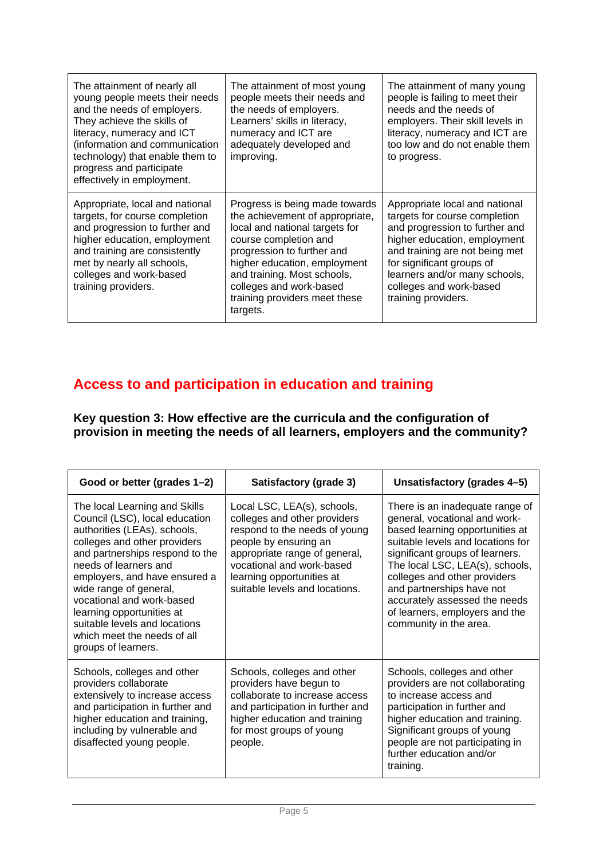| The attainment of nearly all<br>young people meets their needs<br>and the needs of employers.<br>They achieve the skills of<br>literacy, numeracy and ICT<br>(information and communication<br>technology) that enable them to<br>progress and participate<br>effectively in employment. | The attainment of most young<br>people meets their needs and<br>the needs of employers.<br>Learners' skills in literacy,<br>numeracy and ICT are<br>adequately developed and<br>improving.                                                                                                        | The attainment of many young<br>people is failing to meet their<br>needs and the needs of<br>employers. Their skill levels in<br>literacy, numeracy and ICT are<br>too low and do not enable them<br>to progress.                                                                   |
|------------------------------------------------------------------------------------------------------------------------------------------------------------------------------------------------------------------------------------------------------------------------------------------|---------------------------------------------------------------------------------------------------------------------------------------------------------------------------------------------------------------------------------------------------------------------------------------------------|-------------------------------------------------------------------------------------------------------------------------------------------------------------------------------------------------------------------------------------------------------------------------------------|
| Appropriate, local and national<br>targets, for course completion<br>and progression to further and<br>higher education, employment<br>and training are consistently<br>met by nearly all schools,<br>colleges and work-based<br>training providers.                                     | Progress is being made towards<br>the achievement of appropriate,<br>local and national targets for<br>course completion and<br>progression to further and<br>higher education, employment<br>and training. Most schools,<br>colleges and work-based<br>training providers meet these<br>targets. | Appropriate local and national<br>targets for course completion<br>and progression to further and<br>higher education, employment<br>and training are not being met<br>for significant groups of<br>learners and/or many schools,<br>colleges and work-based<br>training providers. |

### **Access to and participation in education and training**

**Key question 3: How effective are the curricula and the configuration of provision in meeting the needs of all learners, employers and the community?** 

| Good or better (grades 1-2)                                                                                                                                                                                                                                                                                                                                                                             | Satisfactory (grade 3)                                                                                                                                                                                                                             | Unsatisfactory (grades 4-5)                                                                                                                                                                                                                                                                                                                                              |
|---------------------------------------------------------------------------------------------------------------------------------------------------------------------------------------------------------------------------------------------------------------------------------------------------------------------------------------------------------------------------------------------------------|----------------------------------------------------------------------------------------------------------------------------------------------------------------------------------------------------------------------------------------------------|--------------------------------------------------------------------------------------------------------------------------------------------------------------------------------------------------------------------------------------------------------------------------------------------------------------------------------------------------------------------------|
| The local Learning and Skills<br>Council (LSC), local education<br>authorities (LEAs), schools,<br>colleges and other providers<br>and partnerships respond to the<br>needs of learners and<br>employers, and have ensured a<br>wide range of general,<br>vocational and work-based<br>learning opportunities at<br>suitable levels and locations<br>which meet the needs of all<br>groups of learners. | Local LSC, LEA(s), schools,<br>colleges and other providers<br>respond to the needs of young<br>people by ensuring an<br>appropriate range of general,<br>vocational and work-based<br>learning opportunities at<br>suitable levels and locations. | There is an inadequate range of<br>general, vocational and work-<br>based learning opportunities at<br>suitable levels and locations for<br>significant groups of learners.<br>The local LSC, LEA(s), schools,<br>colleges and other providers<br>and partnerships have not<br>accurately assessed the needs<br>of learners, employers and the<br>community in the area. |
| Schools, colleges and other<br>providers collaborate<br>extensively to increase access<br>and participation in further and<br>higher education and training,<br>including by vulnerable and<br>disaffected young people.                                                                                                                                                                                | Schools, colleges and other<br>providers have begun to<br>collaborate to increase access<br>and participation in further and<br>higher education and training<br>for most groups of young<br>people.                                               | Schools, colleges and other<br>providers are not collaborating<br>to increase access and<br>participation in further and<br>higher education and training.<br>Significant groups of young<br>people are not participating in<br>further education and/or<br>training.                                                                                                    |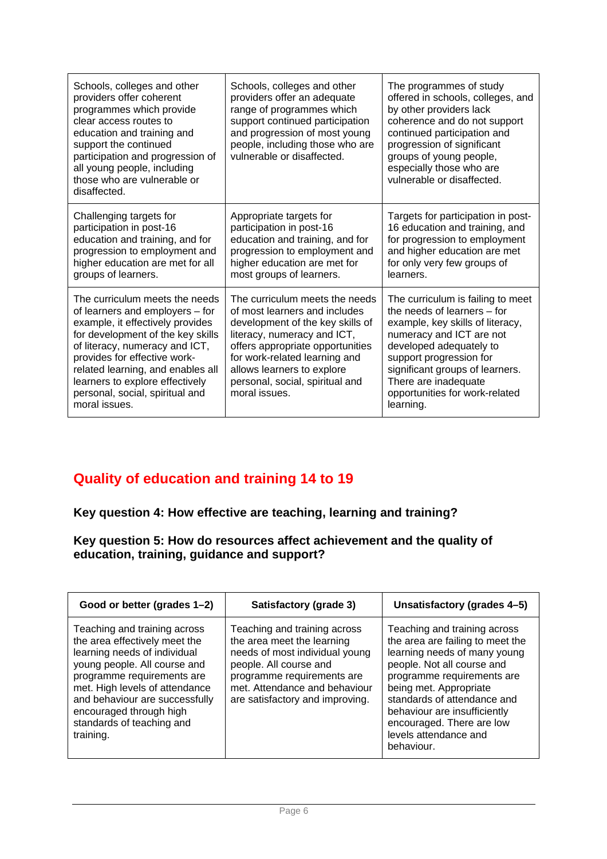| Schools, colleges and other<br>providers offer coherent<br>programmes which provide<br>clear access routes to<br>education and training and<br>support the continued<br>participation and progression of<br>all young people, including<br>those who are vulnerable or<br>disaffected.                                                   | Schools, colleges and other<br>providers offer an adequate<br>range of programmes which<br>support continued participation<br>and progression of most young<br>people, including those who are<br>vulnerable or disaffected.                                                              | The programmes of study<br>offered in schools, colleges, and<br>by other providers lack<br>coherence and do not support<br>continued participation and<br>progression of significant<br>groups of young people,<br>especially those who are<br>vulnerable or disaffected.                        |
|------------------------------------------------------------------------------------------------------------------------------------------------------------------------------------------------------------------------------------------------------------------------------------------------------------------------------------------|-------------------------------------------------------------------------------------------------------------------------------------------------------------------------------------------------------------------------------------------------------------------------------------------|--------------------------------------------------------------------------------------------------------------------------------------------------------------------------------------------------------------------------------------------------------------------------------------------------|
| Challenging targets for<br>participation in post-16<br>education and training, and for<br>progression to employment and<br>higher education are met for all<br>groups of learners.                                                                                                                                                       | Appropriate targets for<br>participation in post-16<br>education and training, and for<br>progression to employment and<br>higher education are met for<br>most groups of learners.                                                                                                       | Targets for participation in post-<br>16 education and training, and<br>for progression to employment<br>and higher education are met<br>for only very few groups of<br>learners.                                                                                                                |
| The curriculum meets the needs<br>of learners and employers - for<br>example, it effectively provides<br>for development of the key skills<br>of literacy, numeracy and ICT,<br>provides for effective work-<br>related learning, and enables all<br>learners to explore effectively<br>personal, social, spiritual and<br>moral issues. | The curriculum meets the needs<br>of most learners and includes<br>development of the key skills of<br>literacy, numeracy and ICT,<br>offers appropriate opportunities<br>for work-related learning and<br>allows learners to explore<br>personal, social, spiritual and<br>moral issues. | The curriculum is failing to meet<br>the needs of learners – for<br>example, key skills of literacy,<br>numeracy and ICT are not<br>developed adequately to<br>support progression for<br>significant groups of learners.<br>There are inadequate<br>opportunities for work-related<br>learning. |

### **Quality of education and training 14 to 19**

#### **Key question 4: How effective are teaching, learning and training?**

#### **Key question 5: How do resources affect achievement and the quality of education, training, guidance and support?**

| Good or better (grades 1–2)                                                                                                                                                                                                                                                                          | Satisfactory (grade 3)                                                                                                                                                                                                   | Unsatisfactory (grades 4-5)                                                                                                                                                                                                                                                                                               |
|------------------------------------------------------------------------------------------------------------------------------------------------------------------------------------------------------------------------------------------------------------------------------------------------------|--------------------------------------------------------------------------------------------------------------------------------------------------------------------------------------------------------------------------|---------------------------------------------------------------------------------------------------------------------------------------------------------------------------------------------------------------------------------------------------------------------------------------------------------------------------|
| Teaching and training across<br>the area effectively meet the<br>learning needs of individual<br>young people. All course and<br>programme requirements are<br>met. High levels of attendance<br>and behaviour are successfully<br>encouraged through high<br>standards of teaching and<br>training. | Teaching and training across<br>the area meet the learning<br>needs of most individual young<br>people. All course and<br>programme requirements are<br>met. Attendance and behaviour<br>are satisfactory and improving. | Teaching and training across<br>the area are failing to meet the<br>learning needs of many young<br>people. Not all course and<br>programme requirements are<br>being met. Appropriate<br>standards of attendance and<br>behaviour are insufficiently<br>encouraged. There are low<br>levels attendance and<br>behaviour. |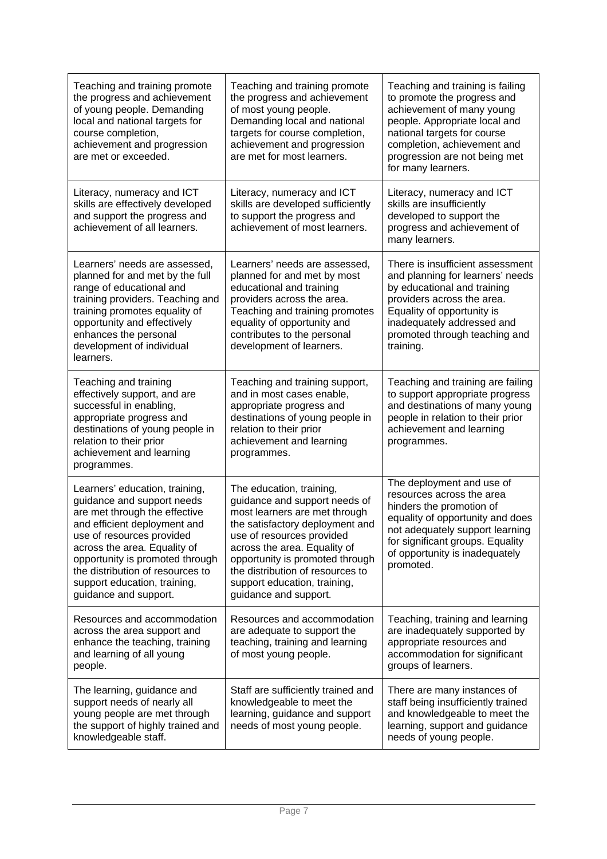| Teaching and training promote<br>the progress and achievement<br>of young people. Demanding<br>local and national targets for<br>course completion,<br>achievement and progression<br>are met or exceeded.                                                                                                                 | Teaching and training promote<br>the progress and achievement<br>of most young people.<br>Demanding local and national<br>targets for course completion,<br>achievement and progression<br>are met for most learners.                                                                                                      | Teaching and training is failing<br>to promote the progress and<br>achievement of many young<br>people. Appropriate local and<br>national targets for course<br>completion, achievement and<br>progression are not being met<br>for many learners. |
|----------------------------------------------------------------------------------------------------------------------------------------------------------------------------------------------------------------------------------------------------------------------------------------------------------------------------|----------------------------------------------------------------------------------------------------------------------------------------------------------------------------------------------------------------------------------------------------------------------------------------------------------------------------|----------------------------------------------------------------------------------------------------------------------------------------------------------------------------------------------------------------------------------------------------|
| Literacy, numeracy and ICT<br>skills are effectively developed<br>and support the progress and<br>achievement of all learners.                                                                                                                                                                                             | Literacy, numeracy and ICT<br>skills are developed sufficiently<br>to support the progress and<br>achievement of most learners.                                                                                                                                                                                            | Literacy, numeracy and ICT<br>skills are insufficiently<br>developed to support the<br>progress and achievement of<br>many learners.                                                                                                               |
| Learners' needs are assessed,<br>planned for and met by the full<br>range of educational and<br>training providers. Teaching and<br>training promotes equality of<br>opportunity and effectively<br>enhances the personal<br>development of individual<br>learners.                                                        | Learners' needs are assessed,<br>planned for and met by most<br>educational and training<br>providers across the area.<br>Teaching and training promotes<br>equality of opportunity and<br>contributes to the personal<br>development of learners.                                                                         | There is insufficient assessment<br>and planning for learners' needs<br>by educational and training<br>providers across the area.<br>Equality of opportunity is<br>inadequately addressed and<br>promoted through teaching and<br>training.        |
| Teaching and training<br>effectively support, and are<br>successful in enabling,<br>appropriate progress and<br>destinations of young people in<br>relation to their prior<br>achievement and learning<br>programmes.                                                                                                      | Teaching and training support,<br>and in most cases enable,<br>appropriate progress and<br>destinations of young people in<br>relation to their prior<br>achievement and learning<br>programmes.                                                                                                                           | Teaching and training are failing<br>to support appropriate progress<br>and destinations of many young<br>people in relation to their prior<br>achievement and learning<br>programmes.                                                             |
| Learners' education, training,<br>guidance and support needs<br>are met through the effective<br>and efficient deployment and<br>use of resources provided<br>across the area. Equality of<br>opportunity is promoted through<br>the distribution of resources to<br>support education, training,<br>guidance and support. | The education, training,<br>guidance and support needs of<br>most learners are met through<br>the satisfactory deployment and<br>use of resources provided<br>across the area. Equality of<br>opportunity is promoted through<br>the distribution of resources to<br>support education, training,<br>guidance and support. | The deployment and use of<br>resources across the area<br>hinders the promotion of<br>equality of opportunity and does<br>not adequately support learning<br>for significant groups. Equality<br>of opportunity is inadequately<br>promoted.       |
| Resources and accommodation<br>across the area support and<br>enhance the teaching, training<br>and learning of all young<br>people.                                                                                                                                                                                       | Resources and accommodation<br>are adequate to support the<br>teaching, training and learning<br>of most young people.                                                                                                                                                                                                     | Teaching, training and learning<br>are inadequately supported by<br>appropriate resources and<br>accommodation for significant<br>groups of learners.                                                                                              |
| The learning, guidance and<br>support needs of nearly all<br>young people are met through<br>the support of highly trained and<br>knowledgeable staff.                                                                                                                                                                     | Staff are sufficiently trained and<br>knowledgeable to meet the<br>learning, guidance and support<br>needs of most young people.                                                                                                                                                                                           | There are many instances of<br>staff being insufficiently trained<br>and knowledgeable to meet the<br>learning, support and guidance<br>needs of young people.                                                                                     |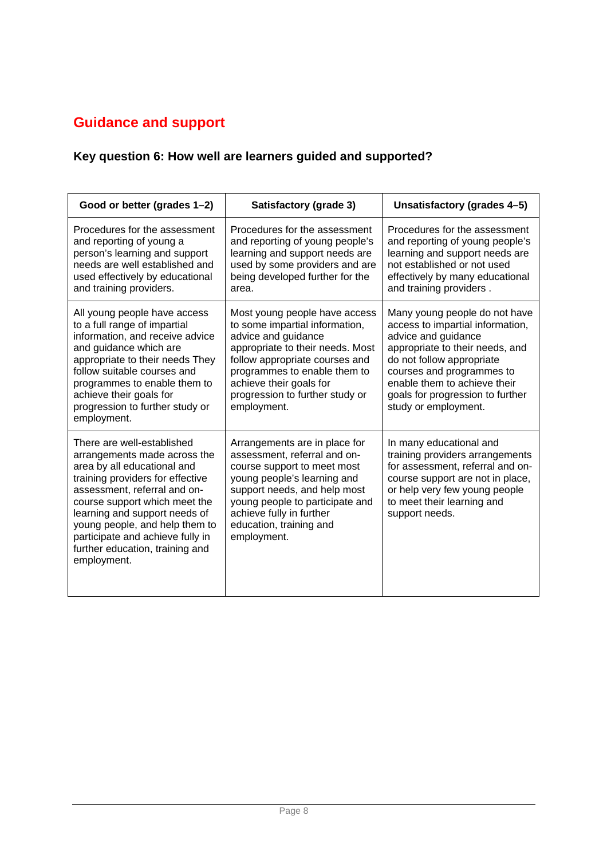# **Guidance and support**

### **Key question 6: How well are learners guided and supported?**

| Good or better (grades 1-2)                                                                                                                                                                                                                                                                                                                             | Satisfactory (grade 3)                                                                                                                                                                                                                                                    | Unsatisfactory (grades 4-5)                                                                                                                                                                                                                                                       |
|---------------------------------------------------------------------------------------------------------------------------------------------------------------------------------------------------------------------------------------------------------------------------------------------------------------------------------------------------------|---------------------------------------------------------------------------------------------------------------------------------------------------------------------------------------------------------------------------------------------------------------------------|-----------------------------------------------------------------------------------------------------------------------------------------------------------------------------------------------------------------------------------------------------------------------------------|
| Procedures for the assessment<br>and reporting of young a<br>person's learning and support<br>needs are well established and<br>used effectively by educational<br>and training providers.                                                                                                                                                              | Procedures for the assessment<br>and reporting of young people's<br>learning and support needs are<br>used by some providers and are<br>being developed further for the<br>area.                                                                                          | Procedures for the assessment<br>and reporting of young people's<br>learning and support needs are<br>not established or not used<br>effectively by many educational<br>and training providers.                                                                                   |
| All young people have access<br>to a full range of impartial<br>information, and receive advice<br>and guidance which are<br>appropriate to their needs They<br>follow suitable courses and<br>programmes to enable them to<br>achieve their goals for<br>progression to further study or<br>employment.                                                | Most young people have access<br>to some impartial information,<br>advice and guidance<br>appropriate to their needs. Most<br>follow appropriate courses and<br>programmes to enable them to<br>achieve their goals for<br>progression to further study or<br>employment. | Many young people do not have<br>access to impartial information,<br>advice and guidance<br>appropriate to their needs, and<br>do not follow appropriate<br>courses and programmes to<br>enable them to achieve their<br>goals for progression to further<br>study or employment. |
| There are well-established<br>arrangements made across the<br>area by all educational and<br>training providers for effective<br>assessment, referral and on-<br>course support which meet the<br>learning and support needs of<br>young people, and help them to<br>participate and achieve fully in<br>further education, training and<br>employment. | Arrangements are in place for<br>assessment, referral and on-<br>course support to meet most<br>young people's learning and<br>support needs, and help most<br>young people to participate and<br>achieve fully in further<br>education, training and<br>employment.      | In many educational and<br>training providers arrangements<br>for assessment, referral and on-<br>course support are not in place,<br>or help very few young people<br>to meet their learning and<br>support needs.                                                               |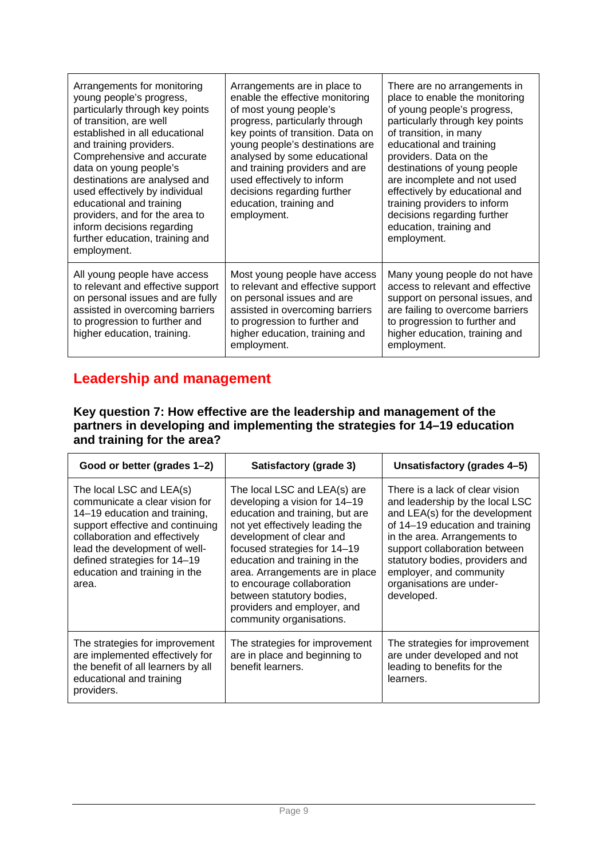| Arrangements for monitoring<br>young people's progress,<br>particularly through key points<br>of transition, are well<br>established in all educational<br>and training providers.<br>Comprehensive and accurate<br>data on young people's<br>destinations are analysed and<br>used effectively by individual<br>educational and training<br>providers, and for the area to<br>inform decisions regarding<br>further education, training and<br>employment. | Arrangements are in place to<br>enable the effective monitoring<br>of most young people's<br>progress, particularly through<br>key points of transition. Data on<br>young people's destinations are<br>analysed by some educational<br>and training providers and are<br>used effectively to inform<br>decisions regarding further<br>education, training and<br>employment. | There are no arrangements in<br>place to enable the monitoring<br>of young people's progress,<br>particularly through key points<br>of transition, in many<br>educational and training<br>providers. Data on the<br>destinations of young people<br>are incomplete and not used<br>effectively by educational and<br>training providers to inform<br>decisions regarding further<br>education, training and<br>employment. |
|-------------------------------------------------------------------------------------------------------------------------------------------------------------------------------------------------------------------------------------------------------------------------------------------------------------------------------------------------------------------------------------------------------------------------------------------------------------|------------------------------------------------------------------------------------------------------------------------------------------------------------------------------------------------------------------------------------------------------------------------------------------------------------------------------------------------------------------------------|----------------------------------------------------------------------------------------------------------------------------------------------------------------------------------------------------------------------------------------------------------------------------------------------------------------------------------------------------------------------------------------------------------------------------|
| All young people have access<br>to relevant and effective support<br>on personal issues and are fully<br>assisted in overcoming barriers<br>to progression to further and<br>higher education, training.                                                                                                                                                                                                                                                    | Most young people have access<br>to relevant and effective support<br>on personal issues and are<br>assisted in overcoming barriers<br>to progression to further and<br>higher education, training and<br>employment.                                                                                                                                                        | Many young people do not have<br>access to relevant and effective<br>support on personal issues, and<br>are failing to overcome barriers<br>to progression to further and<br>higher education, training and<br>employment.                                                                                                                                                                                                 |

### **Leadership and management**

#### **Key question 7: How effective are the leadership and management of the partners in developing and implementing the strategies for 14–19 education and training for the area?**

| Good or better (grades 1-2)                                                                                                                                                                                                                                                 | Satisfactory (grade 3)                                                                                                                                                                                                                                                                                                                                                                    | Unsatisfactory (grades 4-5)                                                                                                                                                                                                                                                                                      |
|-----------------------------------------------------------------------------------------------------------------------------------------------------------------------------------------------------------------------------------------------------------------------------|-------------------------------------------------------------------------------------------------------------------------------------------------------------------------------------------------------------------------------------------------------------------------------------------------------------------------------------------------------------------------------------------|------------------------------------------------------------------------------------------------------------------------------------------------------------------------------------------------------------------------------------------------------------------------------------------------------------------|
| The local LSC and LEA(s)<br>communicate a clear vision for<br>14–19 education and training,<br>support effective and continuing<br>collaboration and effectively<br>lead the development of well-<br>defined strategies for 14-19<br>education and training in the<br>area. | The local LSC and LEA(s) are<br>developing a vision for 14-19<br>education and training, but are<br>not yet effectively leading the<br>development of clear and<br>focused strategies for 14-19<br>education and training in the<br>area. Arrangements are in place<br>to encourage collaboration<br>between statutory bodies,<br>providers and employer, and<br>community organisations. | There is a lack of clear vision<br>and leadership by the local LSC<br>and LEA(s) for the development<br>of 14-19 education and training<br>in the area. Arrangements to<br>support collaboration between<br>statutory bodies, providers and<br>employer, and community<br>organisations are under-<br>developed. |
| The strategies for improvement<br>are implemented effectively for<br>the benefit of all learners by all<br>educational and training<br>providers.                                                                                                                           | The strategies for improvement<br>are in place and beginning to<br>benefit learners.                                                                                                                                                                                                                                                                                                      | The strategies for improvement<br>are under developed and not<br>leading to benefits for the<br>learners.                                                                                                                                                                                                        |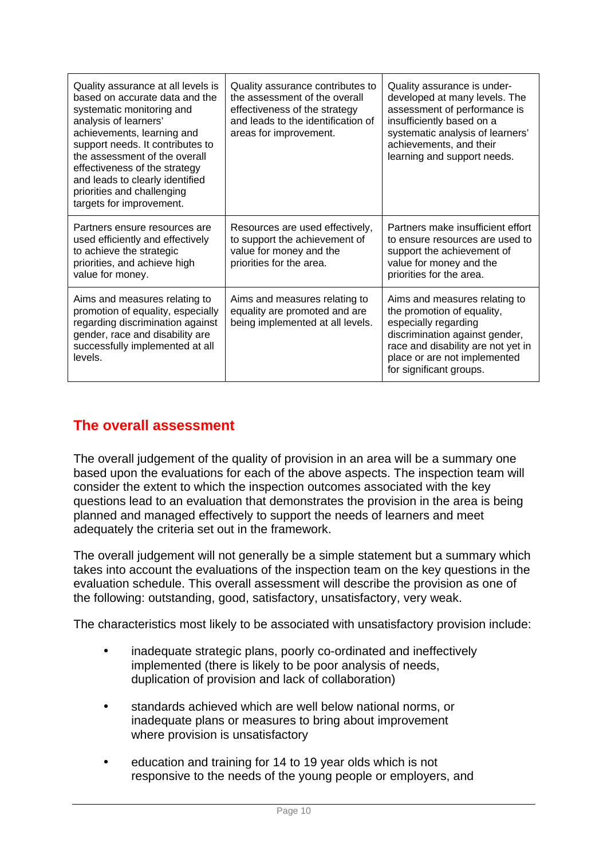| Quality assurance at all levels is<br>based on accurate data and the<br>systematic monitoring and<br>analysis of learners'<br>achievements, learning and<br>support needs. It contributes to<br>the assessment of the overall<br>effectiveness of the strategy<br>and leads to clearly identified<br>priorities and challenging<br>targets for improvement. | Quality assurance contributes to<br>the assessment of the overall<br>effectiveness of the strategy<br>and leads to the identification of<br>areas for improvement. | Quality assurance is under-<br>developed at many levels. The<br>assessment of performance is<br>insufficiently based on a<br>systematic analysis of learners'<br>achievements, and their<br>learning and support needs. |
|-------------------------------------------------------------------------------------------------------------------------------------------------------------------------------------------------------------------------------------------------------------------------------------------------------------------------------------------------------------|--------------------------------------------------------------------------------------------------------------------------------------------------------------------|-------------------------------------------------------------------------------------------------------------------------------------------------------------------------------------------------------------------------|
| Partners ensure resources are<br>used efficiently and effectively<br>to achieve the strategic<br>priorities, and achieve high<br>value for money.                                                                                                                                                                                                           | Resources are used effectively,<br>to support the achievement of<br>value for money and the<br>priorities for the area.                                            | Partners make insufficient effort<br>to ensure resources are used to<br>support the achievement of<br>value for money and the<br>priorities for the area.                                                               |
| Aims and measures relating to<br>promotion of equality, especially<br>regarding discrimination against<br>gender, race and disability are<br>successfully implemented at all<br>levels.                                                                                                                                                                     | Aims and measures relating to<br>equality are promoted and are<br>being implemented at all levels.                                                                 | Aims and measures relating to<br>the promotion of equality,<br>especially regarding<br>discrimination against gender,<br>race and disability are not yet in<br>place or are not implemented<br>for significant groups.  |

#### **The overall assessment**

The overall judgement of the quality of provision in an area will be a summary one based upon the evaluations for each of the above aspects. The inspection team will consider the extent to which the inspection outcomes associated with the key questions lead to an evaluation that demonstrates the provision in the area is being planned and managed effectively to support the needs of learners and meet adequately the criteria set out in the framework.

The overall judgement will not generally be a simple statement but a summary which takes into account the evaluations of the inspection team on the key questions in the evaluation schedule. This overall assessment will describe the provision as one of the following: outstanding, good, satisfactory, unsatisfactory, very weak.

The characteristics most likely to be associated with unsatisfactory provision include:

- inadequate strategic plans, poorly co-ordinated and ineffectively implemented (there is likely to be poor analysis of needs, duplication of provision and lack of collaboration)
- standards achieved which are well below national norms, or inadequate plans or measures to bring about improvement where provision is unsatisfactory
- education and training for 14 to 19 year olds which is not responsive to the needs of the young people or employers, and